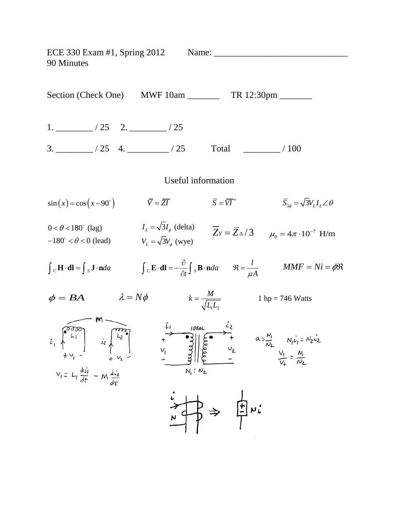ECE 330 Exam #1, Spring 2012 Name: \_\_\_\_\_\_\_\_\_\_\_\_\_\_\_\_\_\_\_\_\_\_\_\_\_\_\_\_\_ 90 Minutes Section (Check One) MWF 10am \_\_\_\_\_\_\_\_ TR 12:30pm \_\_\_\_\_\_\_ 1. \_\_\_\_\_\_\_\_ / 25 2. \_\_\_\_\_\_\_\_ / 25 3. \_\_\_\_\_\_\_\_ / 25 4. \_\_\_\_\_\_\_\_\_ / 25 Total \_\_\_\_\_\_\_\_ / 100 Useful information  $\sin(x) = \cos(x - 90^\circ)$   $\qquad \qquad \overline{Y} = \overline{ZI}$   $\qquad \qquad \overline{S} = \overline{VI}^*$   $\qquad \qquad \overline{S}_{3\phi} = \sqrt{3}V_LI_L\angle\theta$  $\overline{Z}_Y = \overline{Z}_{\Delta}/3$   $\mu_0 = 4\pi \cdot 10^{-7}$  H/m  $0 < \theta < 180^\circ$  (lag)  $I_L = \sqrt{3}I_{\phi}$  (delta)  $-180^\circ < \theta < 0$  (lead)  $V_L = \sqrt{3}V_\phi$  (wye)  $\int_{C} \mathbf{H} \cdot \mathbf{dl} = \int_{S} \mathbf{J} \cdot \mathbf{n} da$   $\int_{C} \mathbf{E} \cdot \mathbf{dl} = -\frac{\partial}{\partial t} \int_{S} \mathbf{B} \cdot \mathbf{n} da$   $\Re = \frac{l}{\mu A}$  $\Re = \frac{l}{i}$   $MMF = Ni = \phi \Re$  $\phi = BA$   $\lambda = N\phi$  $k = \frac{M}{\sqrt{L_1 L_2}}$  1 hp = 746 Watts 1 $-2$ E<br>  $\begin{bmatrix} 0 & 0 & 0 \\ 0 & L_1 & 0 \\ 0 & L_2 & 0 \\ 0 & L_3 & 0 \\ 0 & L_4 & 0 \\ 0 & L_5 & 0 \\ 0 & L_6 & 0 \\ 0 & L_7 & 0 \\ 0 & L_8 & 0 \\ 0 & L_9 & 0 \\ 0 & L_1 & 0 \\ 0 & L_2 & 0 \\ 0 & L_3 & 0 \\ 0 & L_4 & 0 \\ 0 & L_1 & 0 \\ 0 & L_2 & 0 \\ 0 & L_3 & 0 \\ 0 & L_4 & 0 \\ 0 & L_5 & 0 \\ 0 & L_6 & 0 \\ 0 & L_7 & 0 \\ 0$  $V_i = L_i \frac{d\vec{v}_i}{dt} - M \frac{d\vec{v}_i}{dt}$  $\frac{1}{N} \Rightarrow \frac{1}{N} \Rightarrow i$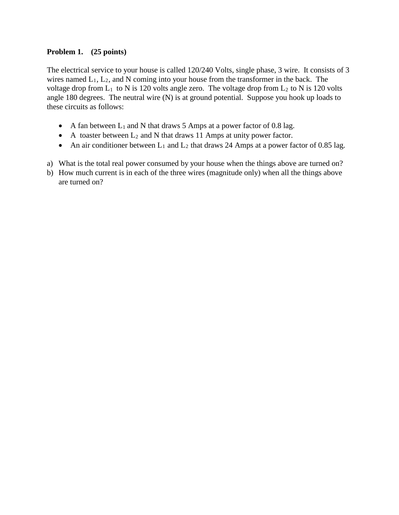## **Problem 1. (25 points)**

The electrical service to your house is called 120/240 Volts, single phase, 3 wire. It consists of 3 wires named  $L_1$ ,  $L_2$ , and N coming into your house from the transformer in the back. The voltage drop from  $L_1$  to N is 120 volts angle zero. The voltage drop from  $L_2$  to N is 120 volts angle 180 degrees. The neutral wire (N) is at ground potential. Suppose you hook up loads to these circuits as follows:

- A fan between  $L_1$  and N that draws 5 Amps at a power factor of 0.8 lag.
- A toaster between  $L_2$  and N that draws 11 Amps at unity power factor.
- An air conditioner between  $L_1$  and  $L_2$  that draws 24 Amps at a power factor of 0.85 lag.
- a) What is the total real power consumed by your house when the things above are turned on?
- b) How much current is in each of the three wires (magnitude only) when all the things above are turned on?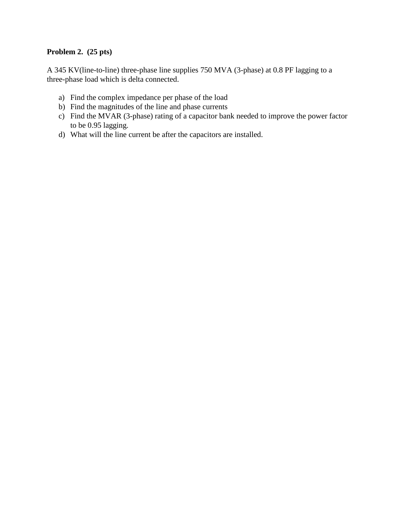## **Problem 2. (25 pts)**

A 345 KV(line-to-line) three-phase line supplies 750 MVA (3-phase) at 0.8 PF lagging to a three-phase load which is delta connected.

- a) Find the complex impedance per phase of the load
- b) Find the magnitudes of the line and phase currents
- c) Find the MVAR (3-phase) rating of a capacitor bank needed to improve the power factor to be 0.95 lagging.
- d) What will the line current be after the capacitors are installed.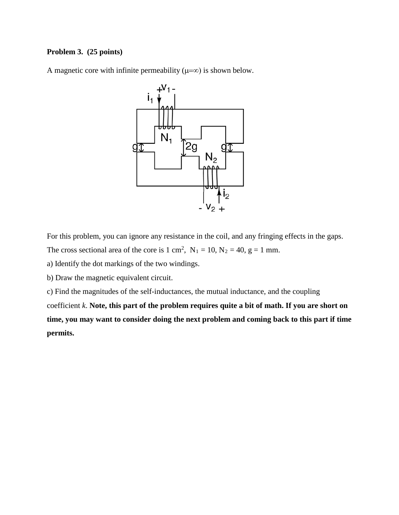## **Problem 3. (25 points)**

A magnetic core with infinite permeability  $(\mu=\infty)$  is shown below.



For this problem, you can ignore any resistance in the coil, and any fringing effects in the gaps.

The cross sectional area of the core is 1 cm<sup>2</sup>,  $N_1 = 10$ ,  $N_2 = 40$ ,  $g = 1$  mm.

a) Identify the dot markings of the two windings.

b) Draw the magnetic equivalent circuit.

c) Find the magnitudes of the self-inductances, the mutual inductance, and the coupling

coefficient *k*. **Note, this part of the problem requires quite a bit of math. If you are short on time, you may want to consider doing the next problem and coming back to this part if time permits.**